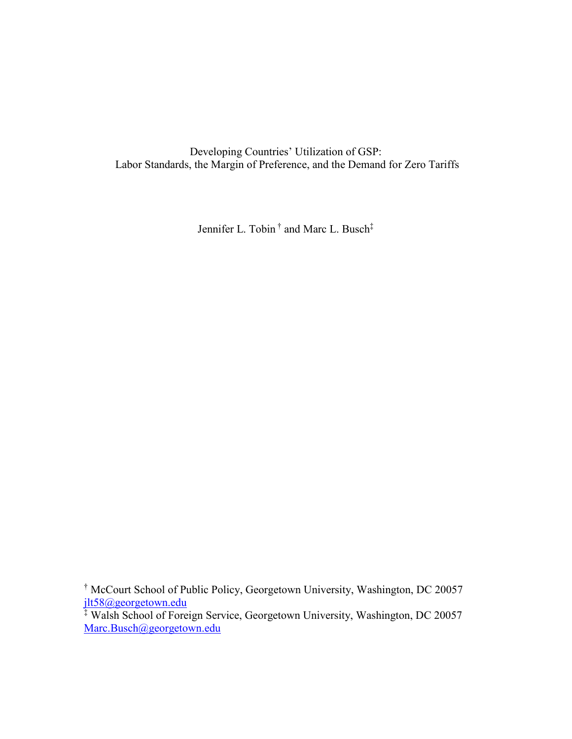Developing Countries' Utilization of GSP: Labor Standards, the Margin of Preference, and the Demand for Zero Tariffs

Jennifer L. Tobin † and Marc L. Busch‡

<sup>†</sup> McCourt School of Public Policy, Georgetown University, Washington, DC 20057 [jlt58@georgetown.edu](mailto:jlt58@georgetown.edu)

<sup>‡</sup> Walsh School of Foreign Service, Georgetown University, Washington, DC 20057 [Marc.Busch@georgetown.edu](mailto:Marc.Busch@georgetown.edu)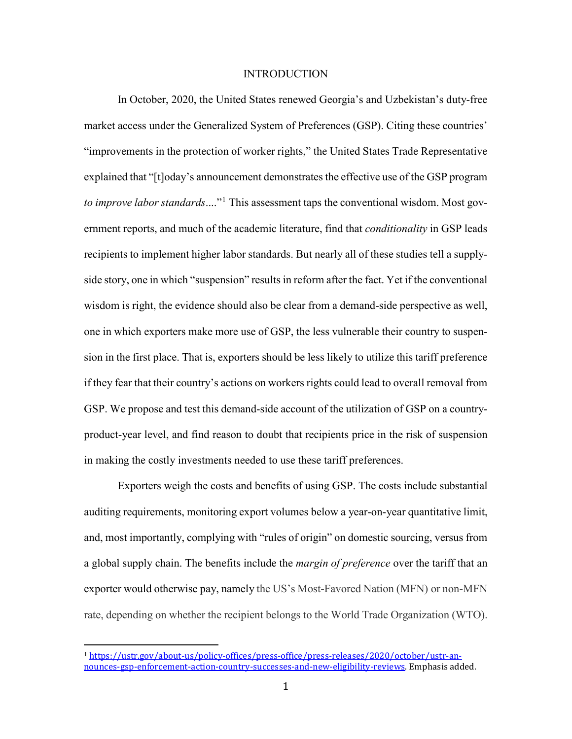# INTRODUCTION

In October, 2020, the United States renewed Georgia's and Uzbekistan's duty-free market access under the Generalized System of Preferences (GSP). Citing these countries' "improvements in the protection of worker rights," the United States Trade Representative explained that "[t]oday's announcement demonstrates the effective use of the GSP program *to improve labor standards*...."[1](#page-1-0) This assessment taps the conventional wisdom. Most government reports, and much of the academic literature, find that *conditionality* in GSP leads recipients to implement higher labor standards. But nearly all of these studies tell a supplyside story, one in which "suspension" results in reform after the fact. Yet if the conventional wisdom is right, the evidence should also be clear from a demand-side perspective as well, one in which exporters make more use of GSP, the less vulnerable their country to suspension in the first place. That is, exporters should be less likely to utilize this tariff preference if they fear that their country's actions on workers rights could lead to overall removal from GSP. We propose and test this demand-side account of the utilization of GSP on a countryproduct-year level, and find reason to doubt that recipients price in the risk of suspension in making the costly investments needed to use these tariff preferences.

Exporters weigh the costs and benefits of using GSP. The costs include substantial auditing requirements, monitoring export volumes below a year-on-year quantitative limit, and, most importantly, complying with "rules of origin" on domestic sourcing, versus from a global supply chain. The benefits include the *margin of preference* over the tariff that an exporter would otherwise pay, namely the US's Most-Favored Nation (MFN) or non-MFN rate, depending on whether the recipient belongs to the World Trade Organization (WTO).

<span id="page-1-0"></span> <sup>1</sup> [https://ustr.gov/about-us/policy-offices/press-office/press-releases/2020/october/ustr-an](https://ustr.gov/about-us/policy-offices/press-office/press-releases/2020/october/ustr-announces-gsp-enforcement-action-country-successes-and-new-eligibility-reviews)[nounces-gsp-enforcement-action-country-successes-and-new-eligibility-reviews.](https://ustr.gov/about-us/policy-offices/press-office/press-releases/2020/october/ustr-announces-gsp-enforcement-action-country-successes-and-new-eligibility-reviews) Emphasis added.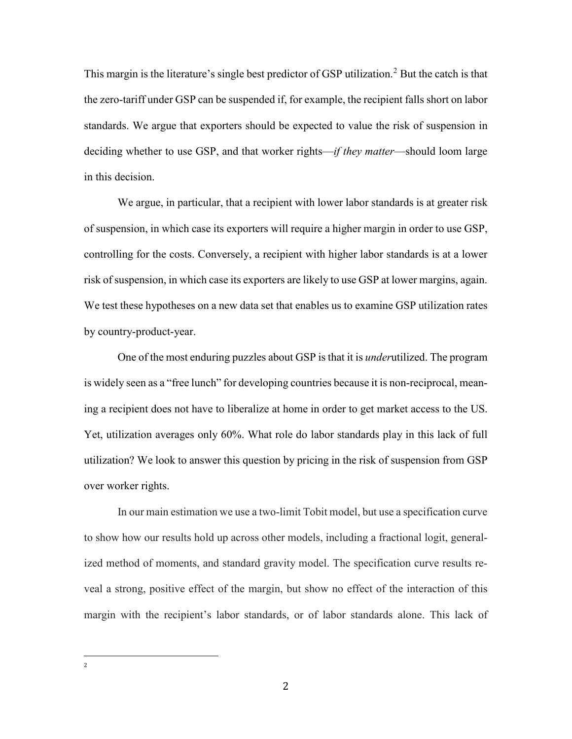This margin is the literature's single best predictor of GSP utilization.<sup>[2](#page-2-0)</sup> But the catch is that the zero-tariff under GSP can be suspended if, for example, the recipient falls short on labor standards. We argue that exporters should be expected to value the risk of suspension in deciding whether to use GSP, and that worker rights—*if they matter*—should loom large in this decision.

We argue, in particular, that a recipient with lower labor standards is at greater risk of suspension, in which case its exporters will require a higher margin in order to use GSP, controlling for the costs. Conversely, a recipient with higher labor standards is at a lower risk of suspension, in which case its exporters are likely to use GSP at lower margins, again. We test these hypotheses on a new data set that enables us to examine GSP utilization rates by country-product-year.

One of the most enduring puzzles about GSP is that it is *under*utilized. The program is widely seen as a "free lunch" for developing countries because it is non-reciprocal, meaning a recipient does not have to liberalize at home in order to get market access to the US. Yet, utilization averages only 60%. What role do labor standards play in this lack of full utilization? We look to answer this question by pricing in the risk of suspension from GSP over worker rights.

<span id="page-2-0"></span>In our main estimation we use a two-limit Tobit model, but use a specification curve to show how our results hold up across other models, including a fractional logit, generalized method of moments, and standard gravity model. The specification curve results reveal a strong, positive effect of the margin, but show no effect of the interaction of this margin with the recipient's labor standards, or of labor standards alone. This lack of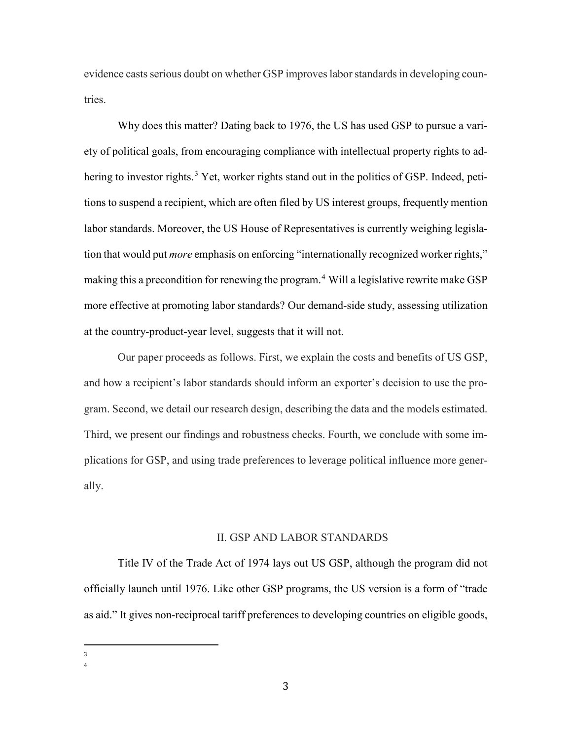evidence casts serious doubt on whether GSP improveslabor standardsin developing countries.

Why does this matter? Dating back to 1976, the US has used GSP to pursue a variety of political goals, from encouraging compliance with intellectual property rights to ad-hering to investor rights.<sup>[3](#page-3-0)</sup> Yet, worker rights stand out in the politics of GSP. Indeed, petitions to suspend a recipient, which are often filed by US interest groups, frequently mention labor standards. Moreover, the US House of Representatives is currently weighing legislation that would put *more* emphasis on enforcing "internationally recognized worker rights," making this a precondition for renewing the program.<sup>[4](#page-3-1)</sup> Will a legislative rewrite make GSP more effective at promoting labor standards? Our demand-side study, assessing utilization at the country-product-year level, suggests that it will not.

Our paper proceeds as follows. First, we explain the costs and benefits of US GSP, and how a recipient's labor standards should inform an exporter's decision to use the program. Second, we detail our research design, describing the data and the models estimated. Third, we present our findings and robustness checks. Fourth, we conclude with some implications for GSP, and using trade preferences to leverage political influence more generally.

#### II. GSP AND LABOR STANDARDS

Title IV of the Trade Act of 1974 lays out US GSP, although the program did not officially launch until 1976. Like other GSP programs, the US version is a form of "trade as aid." It gives non-reciprocal tariff preferences to developing countries on eligible goods,

<span id="page-3-1"></span><span id="page-3-0"></span><sup>—&</sup>lt;br>3  $\overline{3}$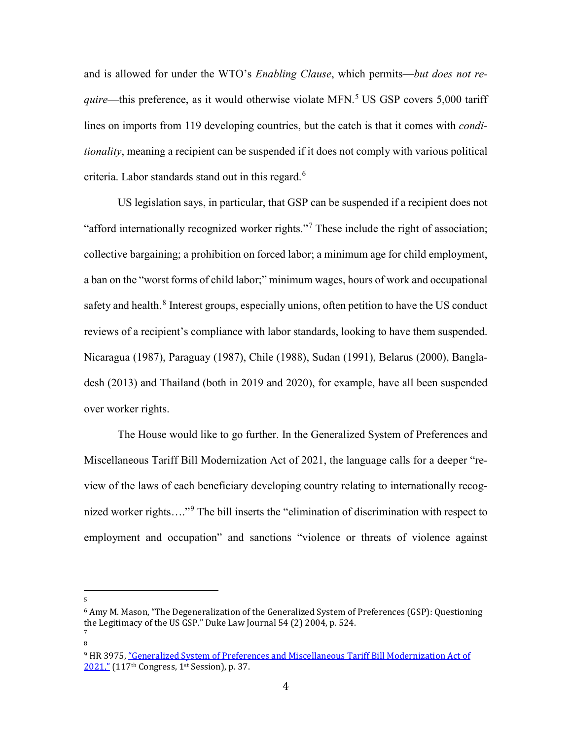and is allowed for under the WTO's *Enabling Clause*, which permits—*but does not require*—this preference, as it would otherwise violate MFN. [5](#page-4-0) US GSP covers 5,000 tariff lines on imports from 119 developing countries, but the catch is that it comes with *conditionality*, meaning a recipient can be suspended if it does not comply with various political criteria. Labor standards stand out in this regard. [6](#page-4-1)

US legislation says, in particular, that GSP can be suspended if a recipient does not "afford internationally recognized worker rights."[7](#page-4-2) These include the right of association; collective bargaining; a prohibition on forced labor; a minimum age for child employment, a ban on the "worst forms of child labor;" minimum wages, hours of work and occupational safety and health. $8$  Interest groups, especially unions, often petition to have the US conduct reviews of a recipient's compliance with labor standards, looking to have them suspended. Nicaragua (1987), Paraguay (1987), Chile (1988), Sudan (1991), Belarus (2000), Bangladesh (2013) and Thailand (both in 2019 and 2020), for example, have all been suspended over worker rights.

The House would like to go further. In the Generalized System of Preferences and Miscellaneous Tariff Bill Modernization Act of 2021, the language calls for a deeper "review of the laws of each beneficiary developing country relating to internationally recog-nized worker rights...."<sup>[9](#page-4-4)</sup> The bill inserts the "elimination of discrimination with respect to employment and occupation" and sanctions "violence or threats of violence against

<span id="page-4-0"></span>—<br>5  $\overline{5}$ 

<span id="page-4-3"></span><span id="page-4-2"></span>8

<span id="page-4-1"></span> $6$  Amy M. Mason, "The Degeneralization of the Generalized System of Preferences (GSP): Questioning the Legitimacy of the US GSP." Duke Law Journal 54 (2) 2004, p. 524. 7

<span id="page-4-4"></span><sup>9</sup> HR 3975[, "Generalized System of Preferences and Miscellaneous Tariff Bill Modernization Act of](https://www.congress.gov/bill/117th-congress/house-bill/3975/text?r=70&s=1)  [2021,"](https://www.congress.gov/bill/117th-congress/house-bill/3975/text?r=70&s=1) (117<sup>th</sup> Congress, 1<sup>st</sup> Session), p. 37.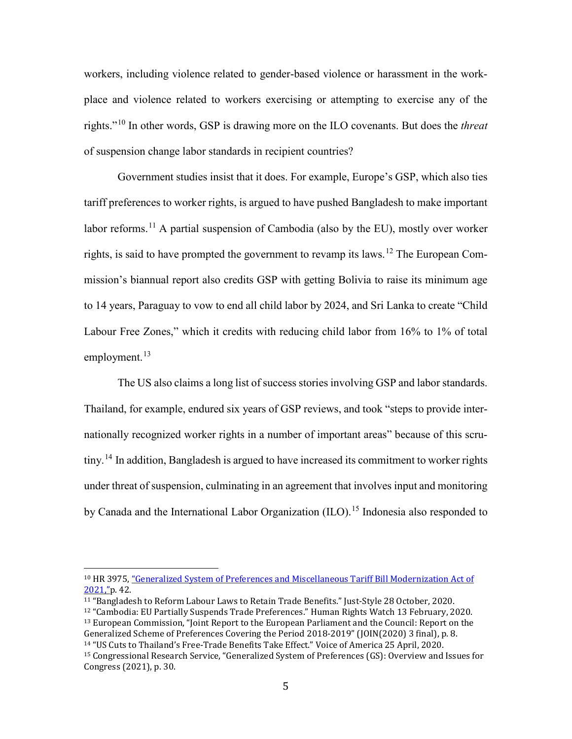workers, including violence related to gender-based violence or harassment in the workplace and violence related to workers exercising or attempting to exercise any of the rights."[10](#page-5-0) In other words, GSP is drawing more on the ILO covenants. But does the *threat* of suspension change labor standards in recipient countries?

Government studies insist that it does. For example, Europe's GSP, which also ties tariff preferences to worker rights, is argued to have pushed Bangladesh to make important labor reforms.<sup>[11](#page-5-1)</sup> A partial suspension of Cambodia (also by the EU), mostly over worker rights, is said to have prompted the government to revamp its laws.<sup>[12](#page-5-2)</sup> The European Commission's biannual report also credits GSP with getting Bolivia to raise its minimum age to 14 years, Paraguay to vow to end all child labor by 2024, and Sri Lanka to create "Child Labour Free Zones," which it credits with reducing child labor from 16% to 1% of total employment. $13$ 

The US also claims a long list of success stories involving GSP and labor standards. Thailand, for example, endured six years of GSP reviews, and took "steps to provide internationally recognized worker rights in a number of important areas" because of this scru-tiny.<sup>[14](#page-5-4)</sup> In addition, Bangladesh is argued to have increased its commitment to worker rights under threat of suspension, culminating in an agreement that involves input and monitoring by Canada and the International Labor Organization (ILO).<sup>[15](#page-5-5)</sup> Indonesia also responded to

<span id="page-5-0"></span> <sup>10</sup> HR 3975, ["Generalized System of Preferences and Miscellaneous Tariff Bill Modernization Act of](https://www.congress.gov/bill/117th-congress/house-bill/3975/text?r=70&s=1)  [2021,"p](https://www.congress.gov/bill/117th-congress/house-bill/3975/text?r=70&s=1). 42.

<span id="page-5-2"></span><span id="page-5-1"></span><sup>11</sup> "Bangladesh to Reform Labour Laws to Retain Trade Benefits." Just-Style 28 October, 2020.

<span id="page-5-3"></span><sup>12</sup> "Cambodia: EU Partially Suspends Trade Preferences." Human Rights Watch 13 February, 2020. <sup>13</sup> European Commission, "Joint Report to the European Parliament and the Council: Report on the Generalized Scheme of Preferences Covering the Period 2018-2019" (JOIN(2020) 3 final), p. 8.

<span id="page-5-4"></span><sup>&</sup>lt;sup>14</sup> "US Cuts to Thailand's Free-Trade Benefits Take Effect." Voice of America 25 April, 2020.

<span id="page-5-5"></span><sup>15</sup> Congressional Research Service, "Generalized System of Preferences (GS): Overview and Issues for Congress (2021), p. 30.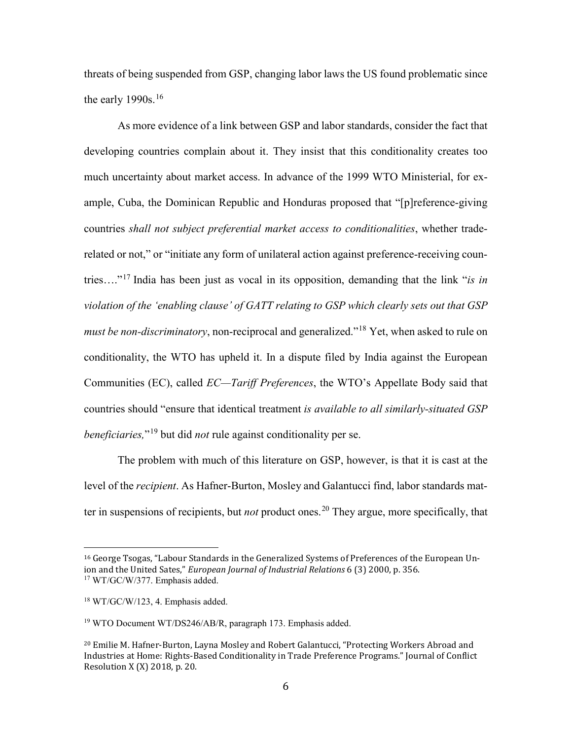threats of being suspended from GSP, changing labor laws the US found problematic since the early 1990s. $16$ 

As more evidence of a link between GSP and labor standards, consider the fact that developing countries complain about it. They insist that this conditionality creates too much uncertainty about market access. In advance of the 1999 WTO Ministerial, for example, Cuba, the Dominican Republic and Honduras proposed that "[p]reference-giving countries *shall not subject preferential market access to conditionalities*, whether traderelated or not," or "initiate any form of unilateral action against preference-receiving countries…."[17](#page-6-1) India has been just as vocal in its opposition, demanding that the link "*is in violation of the 'enabling clause' of GATT relating to GSP which clearly sets out that GSP must be non-discriminatory*, non-reciprocal and generalized."[18](#page-6-2) Yet, when asked to rule on conditionality, the WTO has upheld it. In a dispute filed by India against the European Communities (EC), called *EC—Tariff Preferences*, the WTO's Appellate Body said that countries should "ensure that identical treatment *is available to all similarly-situated GSP beneficiaries,*"[19](#page-6-3) but did *not* rule against conditionality per se.

The problem with much of this literature on GSP, however, is that it is cast at the level of the *recipient*. As Hafner-Burton, Mosley and Galantucci find, labor standards matter in suspensions of recipients, but *not* product ones.<sup>[20](#page-6-4)</sup> They argue, more specifically, that

<span id="page-6-1"></span><span id="page-6-0"></span> <sup>16</sup> George Tsogas, "Labour Standards in the Generalized Systems of Preferences of the European Union and the United Sates," *European Journal of Industrial Relations* 6 (3) 2000, p. 356. <sup>17</sup> WT/GC/W/377. Emphasis added.

<span id="page-6-2"></span><sup>18</sup> WT/GC/W/123, 4. Emphasis added.

<span id="page-6-3"></span><sup>&</sup>lt;sup>19</sup> WTO Document WT/DS246/AB/R, paragraph 173. Emphasis added.

<span id="page-6-4"></span><sup>20</sup> Emilie M. Hafner-Burton, Layna Mosley and Robert Galantucci, "Protecting Workers Abroad and Industries at Home: Rights-Based Conditionality in Trade Preference Programs." Journal of Conflict Resolution X (X) 2018, p. 20.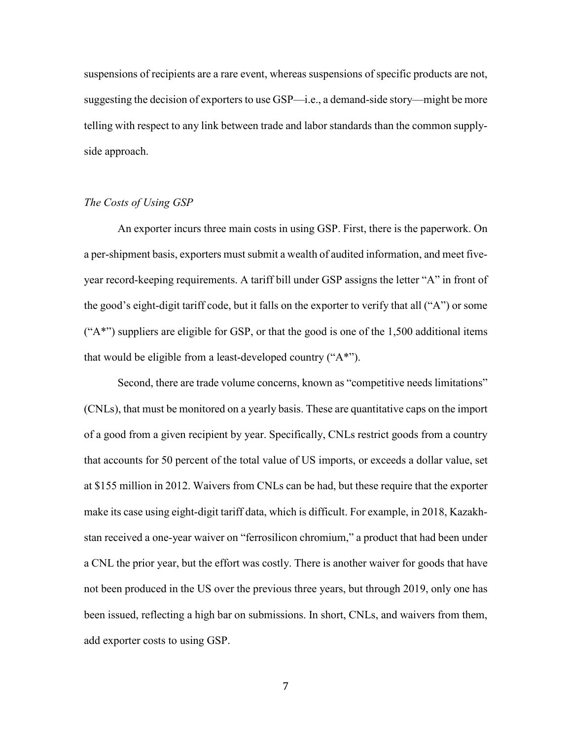suspensions of recipients are a rare event, whereas suspensions of specific products are not, suggesting the decision of exporters to use GSP—i.e., a demand-side story—might be more telling with respect to any link between trade and labor standards than the common supplyside approach.

# *The Costs of Using GSP*

An exporter incurs three main costs in using GSP. First, there is the paperwork. On a per-shipment basis, exporters must submit a wealth of audited information, and meet fiveyear record-keeping requirements. A tariff bill under GSP assigns the letter "A" in front of the good's eight-digit tariff code, but it falls on the exporter to verify that all ("A") or some  $("A<sup>**</sup>)$  suppliers are eligible for GSP, or that the good is one of the 1,500 additional items that would be eligible from a least-developed country ("A\*").

Second, there are trade volume concerns, known as "competitive needs limitations" (CNLs), that must be monitored on a yearly basis. These are quantitative caps on the import of a good from a given recipient by year. Specifically, CNLs restrict goods from a country that accounts for 50 percent of the total value of US imports, or exceeds a dollar value, set at \$155 million in 2012. Waivers from CNLs can be had, but these require that the exporter make its case using eight-digit tariff data, which is difficult. For example, in 2018, Kazakhstan received a one-year waiver on "ferrosilicon chromium," a product that had been under a CNL the prior year, but the effort was costly. There is another waiver for goods that have not been produced in the US over the previous three years, but through 2019, only one has been issued, reflecting a high bar on submissions. In short, CNLs, and waivers from them, add exporter costs to using GSP.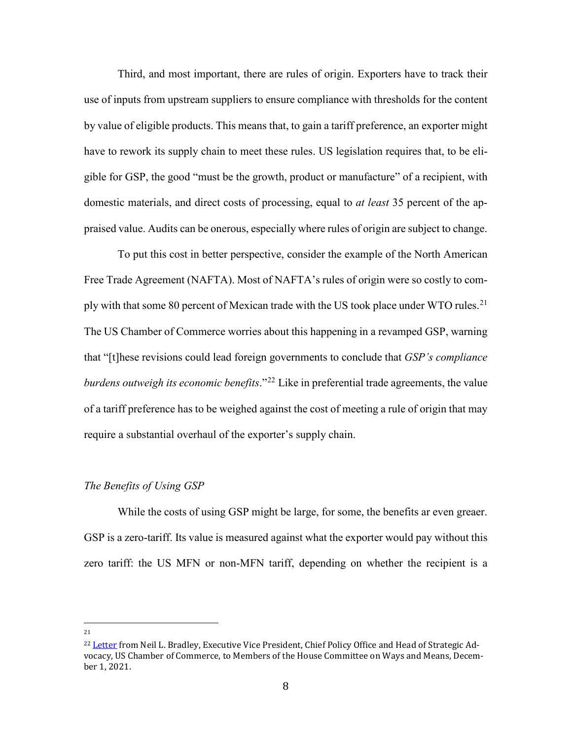Third, and most important, there are rules of origin. Exporters have to track their use of inputs from upstream suppliers to ensure compliance with thresholds for the content by value of eligible products. This means that, to gain a tariff preference, an exporter might have to rework its supply chain to meet these rules. US legislation requires that, to be eligible for GSP, the good "must be the growth, product or manufacture" of a recipient, with domestic materials, and direct costs of processing, equal to *at least* 35 percent of the appraised value. Audits can be onerous, especially where rules of origin are subject to change.

To put this cost in better perspective, consider the example of the North American Free Trade Agreement (NAFTA). Most of NAFTA's rules of origin were so costly to com-ply with that some 80 percent of Mexican trade with the US took place under WTO rules.<sup>[21](#page-8-0)</sup> The US Chamber of Commerce worries about this happening in a revamped GSP, warning that "[t]hese revisions could lead foreign governments to conclude that *GSP's compliance burdens outweigh its economic benefits*."<sup>[22](#page-8-1)</sup> Like in preferential trade agreements, the value of a tariff preference has to be weighed against the cost of meeting a rule of origin that may require a substantial overhaul of the exporter's supply chain.

## *The Benefits of Using GSP*

While the costs of using GSP might be large, for some, the benefits ar even greaer. GSP is a zero-tariff. Its value is measured against what the exporter would pay without this zero tariff: the US MFN or non-MFN tariff, depending on whether the recipient is a

<span id="page-8-0"></span>21

<span id="page-8-1"></span><sup>&</sup>lt;sup>22</sup> [Letter](https://insidetrade-com.proxy.library.georgetown.edu/sites/insidetrade.com/files/documents/2021/dec/wto2021_0622.pdf) from Neil L. Bradley, Executive Vice President, Chief Policy Office and Head of Strategic Advocacy, US Chamber of Commerce, to Members of the House Committee on Ways and Means, December 1, 2021.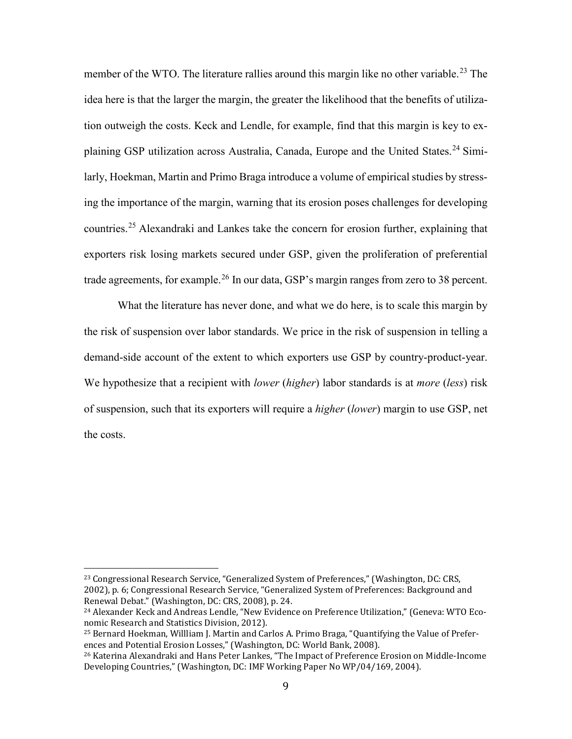member of the WTO. The literature rallies around this margin like no other variable.<sup>[23](#page-9-0)</sup> The idea here is that the larger the margin, the greater the likelihood that the benefits of utilization outweigh the costs. Keck and Lendle, for example, find that this margin is key to ex-plaining GSP utilization across Australia, Canada, Europe and the United States.<sup>[24](#page-9-1)</sup> Similarly, Hoekman, Martin and Primo Braga introduce a volume of empirical studies by stressing the importance of the margin, warning that its erosion poses challenges for developing countries. [25](#page-9-2) Alexandraki and Lankes take the concern for erosion further, explaining that exporters risk losing markets secured under GSP, given the proliferation of preferential trade agreements, for example.<sup>[26](#page-9-3)</sup> In our data, GSP's margin ranges from zero to 38 percent.

What the literature has never done, and what we do here, is to scale this margin by the risk of suspension over labor standards. We price in the risk of suspension in telling a demand-side account of the extent to which exporters use GSP by country-product-year. We hypothesize that a recipient with *lower* (*higher*) labor standards is at *more* (*less*) risk of suspension, such that its exporters will require a *higher* (*lower*) margin to use GSP, net the costs.

<span id="page-9-0"></span><sup>&</sup>lt;sup>23</sup> Congressional Research Service, "Generalized System of Preferences," (Washington, DC: CRS, 2002), p. 6; Congressional Research Service, "Generalized System of Preferences: Background and Renewal Debat." (Washington, DC: CRS, 2008), p. 24.

<span id="page-9-1"></span><sup>&</sup>lt;sup>24</sup> Alexander Keck and Andreas Lendle, "New Evidence on Preference Utilization," (Geneva: WTO Economic Research and Statistics Division, 2012).

<span id="page-9-2"></span><sup>25</sup> Bernard Hoekman, Willliam J. Martin and Carlos A. Primo Braga, "Quantifying the Value of Preferences and Potential Erosion Losses," (Washington, DC: World Bank, 2008).

<span id="page-9-3"></span><sup>26</sup> Katerina Alexandraki and Hans Peter Lankes, "The Impact of Preference Erosion on Middle-Income Developing Countries," (Washington, DC: IMF Working Paper No WP/04/169, 2004).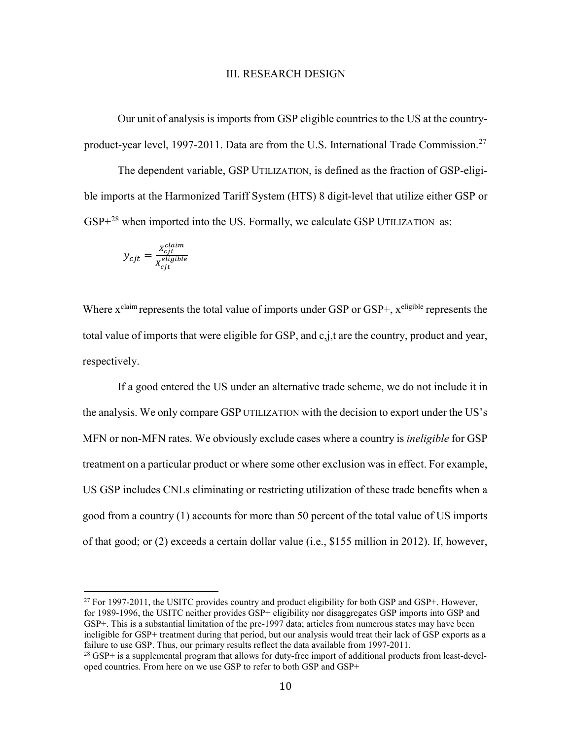## III. RESEARCH DESIGN

Our unit of analysis is imports from GSP eligible countries to the US at the country-product-year level, 1997-2011. Data are from the U.S. International Trade Commission.<sup>[27](#page-10-0)</sup>

The dependent variable, GSP UTILIZATION, is defined as the fraction of GSP-eligible imports at the Harmonized Tariff System (HTS) 8 digit-level that utilize either GSP or  $GSP+<sup>28</sup>$  $GSP+<sup>28</sup>$  $GSP+<sup>28</sup>$  when imported into the US. Formally, we calculate GSP UTILIZATION as:

$$
y_{cjt} = \frac{x_{cjt}^{claim}}{x_{cjt}^{eligible}}
$$

Where  $x^{\text{claim}}$  represents the total value of imports under GSP or GSP+,  $x^{\text{ eligible}}$  represents the total value of imports that were eligible for GSP, and c,j,t are the country, product and year, respectively.

If a good entered the US under an alternative trade scheme, we do not include it in the analysis. We only compare GSP UTILIZATION with the decision to export under the US's MFN or non-MFN rates. We obviously exclude cases where a country is *ineligible* for GSP treatment on a particular product or where some other exclusion was in effect. For example, US GSP includes CNLs eliminating or restricting utilization of these trade benefits when a good from a country (1) accounts for more than 50 percent of the total value of US imports of that good; or (2) exceeds a certain dollar value (i.e., \$155 million in 2012). If, however,

<span id="page-10-0"></span> $^{27}$  For 1997-2011, the USITC provides country and product eligibility for both GSP and GSP+. However, for 1989-1996, the USITC neither provides GSP+ eligibility nor disaggregates GSP imports into GSP and GSP+. This is a substantial limitation of the pre-1997 data; articles from numerous states may have been ineligible for GSP+ treatment during that period, but our analysis would treat their lack of GSP exports as a failure to use GSP. Thus, our primary results reflect the data available from 1997-2011.

<span id="page-10-1"></span> $^{28}$  GSP+ is a supplemental program that allows for duty-free import of additional products from least-developed countries. From here on we use GSP to refer to both GSP and GSP+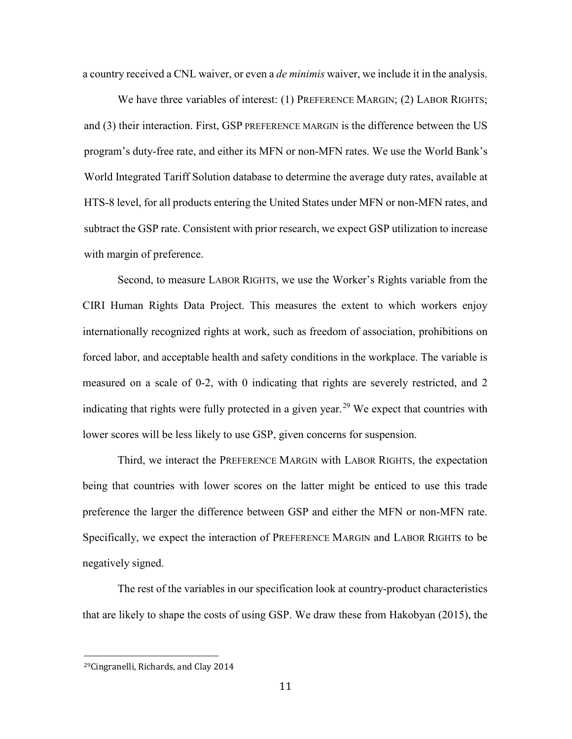a country received a CNL waiver, or even a *de minimis* waiver, we include it in the analysis.

We have three variables of interest: (1) PREFERENCE MARGIN; (2) LABOR RIGHTS; and (3) their interaction. First, GSP PREFERENCE MARGIN is the difference between the US program's duty-free rate, and either its MFN or non-MFN rates. We use the World Bank's World Integrated Tariff Solution database to determine the average duty rates, available at HTS-8 level, for all products entering the United States under MFN or non-MFN rates, and subtract the GSP rate. Consistent with prior research, we expect GSP utilization to increase with margin of preference.

Second, to measure LABOR RIGHTS, we use the Worker's Rights variable from the CIRI Human Rights Data Project. This measures the extent to which workers enjoy internationally recognized rights at work, such as freedom of association, prohibitions on forced labor, and acceptable health and safety conditions in the workplace. The variable is measured on a scale of 0-2, with 0 indicating that rights are severely restricted, and 2 indicating that rights were fully protected in a given year.<sup>[29](#page-11-0)</sup> We expect that countries with lower scores will be less likely to use GSP, given concerns for suspension.

Third, we interact the PREFERENCE MARGIN with LABOR RIGHTS, the expectation being that countries with lower scores on the latter might be enticed to use this trade preference the larger the difference between GSP and either the MFN or non-MFN rate. Specifically, we expect the interaction of PREFERENCE MARGIN and LABOR RIGHTS to be negatively signed.

The rest of the variables in our specification look at country-product characteristics that are likely to shape the costs of using GSP. We draw these from Hakobyan (2015), the

<span id="page-11-0"></span> <sup>29</sup>Cingranelli, Richards, and Clay 2014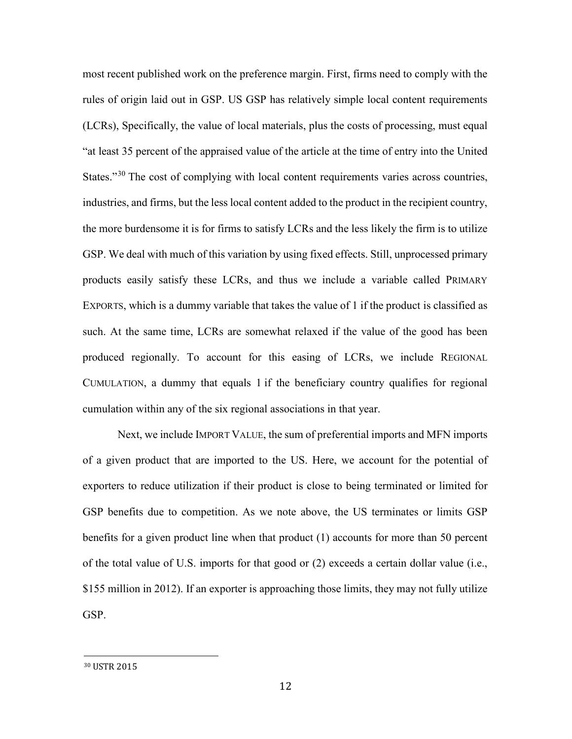most recent published work on the preference margin. First, firms need to comply with the rules of origin laid out in GSP. US GSP has relatively simple local content requirements (LCRs), Specifically, the value of local materials, plus the costs of processing, must equal "at least 35 percent of the appraised value of the article at the time of entry into the United States."<sup>[30](#page-12-0)</sup> The cost of complying with local content requirements varies across countries, industries, and firms, but the less local content added to the product in the recipient country, the more burdensome it is for firms to satisfy LCRs and the less likely the firm is to utilize GSP. We deal with much of this variation by using fixed effects. Still, unprocessed primary products easily satisfy these LCRs, and thus we include a variable called PRIMARY EXPORTS, which is a dummy variable that takes the value of 1 if the product is classified as such. At the same time, LCRs are somewhat relaxed if the value of the good has been produced regionally. To account for this easing of LCRs, we include REGIONAL CUMULATION, a dummy that equals 1 if the beneficiary country qualifies for regional cumulation within any of the six regional associations in that year.

Next, we include IMPORT VALUE, the sum of preferential imports and MFN imports of a given product that are imported to the US. Here, we account for the potential of exporters to reduce utilization if their product is close to being terminated or limited for GSP benefits due to competition. As we note above, the US terminates or limits GSP benefits for a given product line when that product (1) accounts for more than 50 percent of the total value of U.S. imports for that good or (2) exceeds a certain dollar value (i.e., \$155 million in 2012). If an exporter is approaching those limits, they may not fully utilize GSP.

<span id="page-12-0"></span> <sup>30</sup> USTR 2015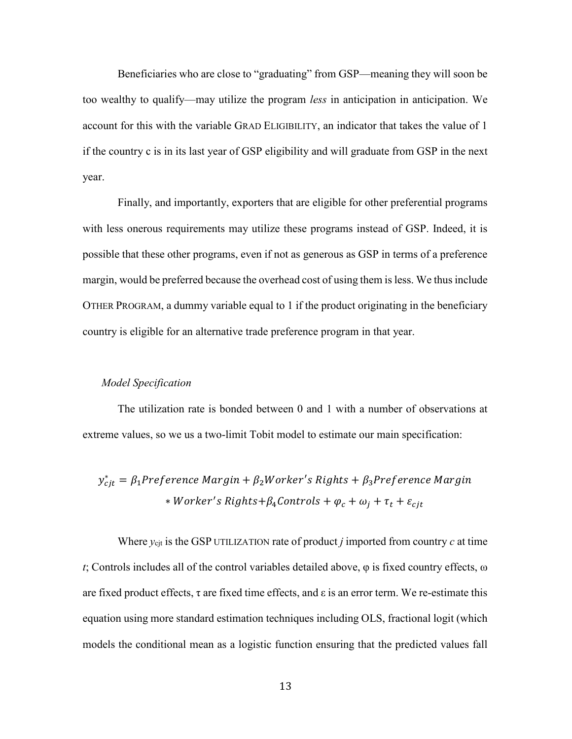Beneficiaries who are close to "graduating" from GSP—meaning they will soon be too wealthy to qualify—may utilize the program *less* in anticipation in anticipation. We account for this with the variable GRAD ELIGIBILITY, an indicator that takes the value of 1 if the country c is in its last year of GSP eligibility and will graduate from GSP in the next year.

Finally, and importantly, exporters that are eligible for other preferential programs with less onerous requirements may utilize these programs instead of GSP. Indeed, it is possible that these other programs, even if not as generous as GSP in terms of a preference margin, would be preferred because the overhead cost of using them is less. We thus include OTHER PROGRAM, a dummy variable equal to 1 if the product originating in the beneficiary country is eligible for an alternative trade preference program in that year.

# *Model Specification*

The utilization rate is bonded between 0 and 1 with a number of observations at extreme values, so we us a two-limit Tobit model to estimate our main specification:

 $y_{cjt}^* = \beta_1$ Preference Margin +  $\beta_2$ Worker's Rights +  $\beta_3$ Preference Margi \* Worker's Rights+β4Controls +  $\varphi_c$  +  $\omega_j$  + τ<sub>t</sub> + ε<sub>cjt</sub>

Where  $y_{\text{cit}}$  is the GSP UTILIZATION rate of product *j* imported from country *c* at time *t*; Controls includes all of the control variables detailed above, φ is fixed country effects, ω are fixed product effects,  $\tau$  are fixed time effects, and  $\varepsilon$  is an error term. We re-estimate this equation using more standard estimation techniques including OLS, fractional logit (which models the conditional mean as a logistic function ensuring that the predicted values fall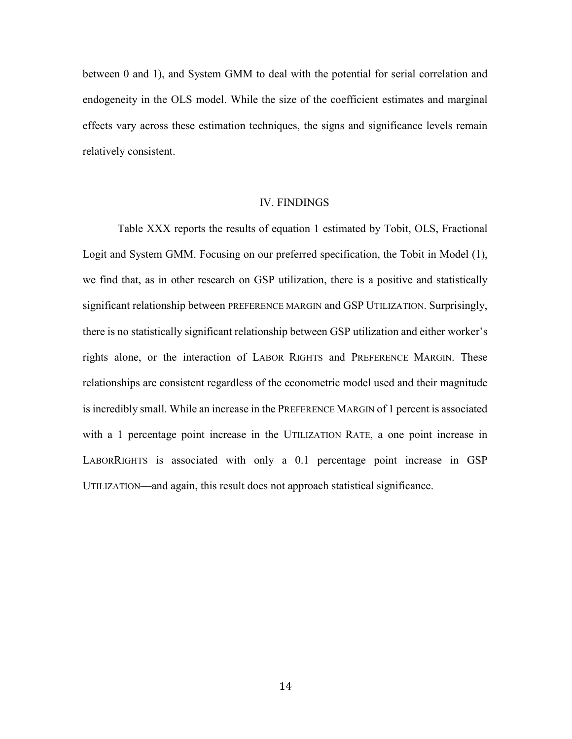between 0 and 1), and System GMM to deal with the potential for serial correlation and endogeneity in the OLS model. While the size of the coefficient estimates and marginal effects vary across these estimation techniques, the signs and significance levels remain relatively consistent.

## IV. FINDINGS

Table XXX reports the results of equation 1 estimated by Tobit, OLS, Fractional Logit and System GMM. Focusing on our preferred specification, the Tobit in Model (1), we find that, as in other research on GSP utilization, there is a positive and statistically significant relationship between PREFERENCE MARGIN and GSP UTILIZATION. Surprisingly, there is no statistically significant relationship between GSP utilization and either worker's rights alone, or the interaction of LABOR RIGHTS and PREFERENCE MARGIN. These relationships are consistent regardless of the econometric model used and their magnitude is incredibly small. While an increase in the PREFERENCE MARGIN of 1 percent is associated with a 1 percentage point increase in the UTILIZATION RATE, a one point increase in LABORRIGHTS is associated with only a 0.1 percentage point increase in GSP UTILIZATION—and again, this result does not approach statistical significance.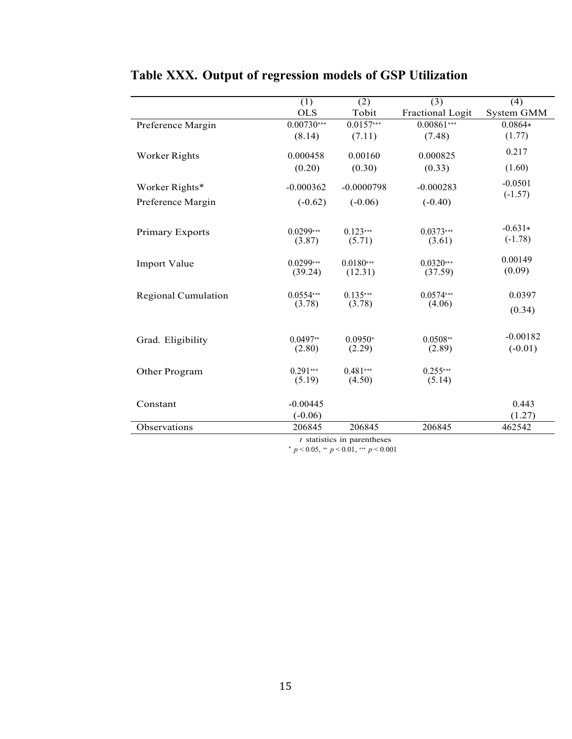|                     | (1)<br><b>OLS</b>       | (2)<br>Tobit           | (3)<br>Fractional Logit | (4)<br>System GMM       |
|---------------------|-------------------------|------------------------|-------------------------|-------------------------|
| Preference Margin   | $0.00730***$            | $0.0157***$            | $0.00861***$            | $0.0864*$               |
|                     | (8.14)                  | (7.11)                 | (7.48)                  | (1.77)                  |
| Worker Rights       | 0.000458                | 0.00160                | 0.000825                | 0.217                   |
|                     | (0.20)                  | (0.30)                 | (0.33)                  | (1.60)                  |
| Worker Rights*      | $-0.000362$             | $-0.0000798$           | $-0.000283$             | $-0.0501$<br>$(-1.57)$  |
| Preference Margin   | $(-0.62)$               | $(-0.06)$              | $(-0.40)$               |                         |
| Primary Exports     | $0.0299***$<br>(3.87)   | $0.123***$<br>(5.71)   | $0.0373***$<br>(3.61)   | $-0.631*$<br>$(-1.78)$  |
| Import Value        | $0.0299***$<br>(39.24)  | $0.0180***$<br>(12.31) | $0.0320***$<br>(37.59)  | 0.00149<br>(0.09)       |
| Regional Cumulation | $0.0554***$<br>(3.78)   | $0.135***$<br>(3.78)   | $0.0574***$<br>(4.06)   | 0.0397<br>(0.34)        |
| Grad. Eligibility   | $0.0497**$<br>(2.80)    | $0.0950*$<br>(2.29)    | $0.0508**$<br>(2.89)    | $-0.00182$<br>$(-0.01)$ |
| Other Program       | $0.291***$<br>(5.19)    | $0.481***$<br>(4.50)   | $0.255***$<br>(5.14)    |                         |
| Constant            | $-0.00445$<br>$(-0.06)$ |                        |                         | 0.443<br>(1.27)         |
| Observations        | 206845                  | 206845                 | 206845                  | 462542                  |

# **Table XXX. Output of regression models of GSP Utilization**

*t* statistics in parentheses

∗ *p <* 0*.*05, ∗∗ *p <* 0*.*01, ∗∗∗ *p <* 0*.*001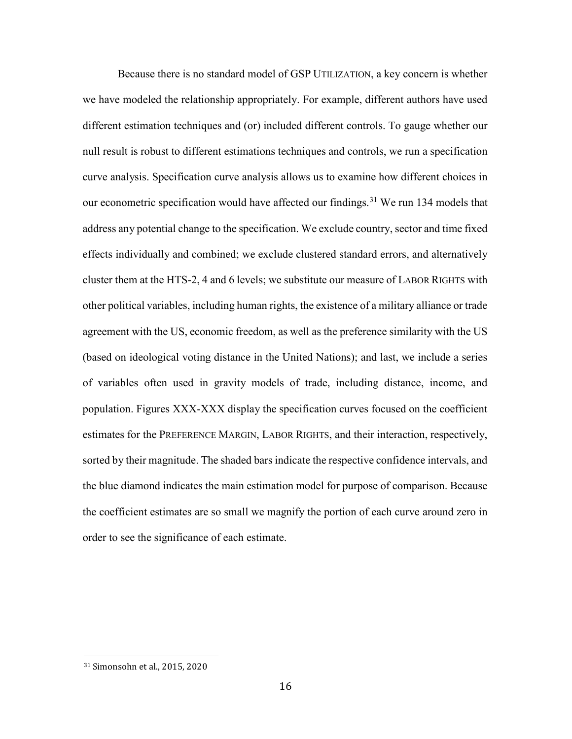Because there is no standard model of GSP UTILIZATION, a key concern is whether we have modeled the relationship appropriately. For example, different authors have used different estimation techniques and (or) included different controls. To gauge whether our null result is robust to different estimations techniques and controls, we run a specification curve analysis. Specification curve analysis allows us to examine how different choices in our econometric specification would have affected our findings.<sup>[31](#page-16-0)</sup> We run 134 models that address any potential change to the specification. We exclude country, sector and time fixed effects individually and combined; we exclude clustered standard errors, and alternatively cluster them at the HTS-2, 4 and 6 levels; we substitute our measure of LABOR RIGHTS with other political variables, including human rights, the existence of a military alliance or trade agreement with the US, economic freedom, as well as the preference similarity with the US (based on ideological voting distance in the United Nations); and last, we include a series of variables often used in gravity models of trade, including distance, income, and population. Figures XXX-XXX display the specification curves focused on the coefficient estimates for the PREFERENCE MARGIN, LABOR RIGHTS, and their interaction, respectively, sorted by their magnitude. The shaded bars indicate the respective confidence intervals, and the blue diamond indicates the main estimation model for purpose of comparison. Because the coefficient estimates are so small we magnify the portion of each curve around zero in order to see the significance of each estimate.

<span id="page-16-0"></span> <sup>31</sup> Simonsohn et al., 2015, 2020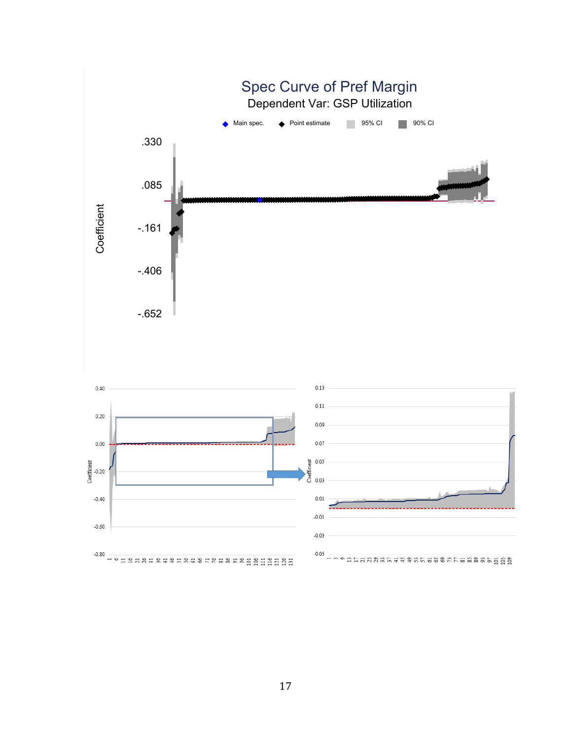

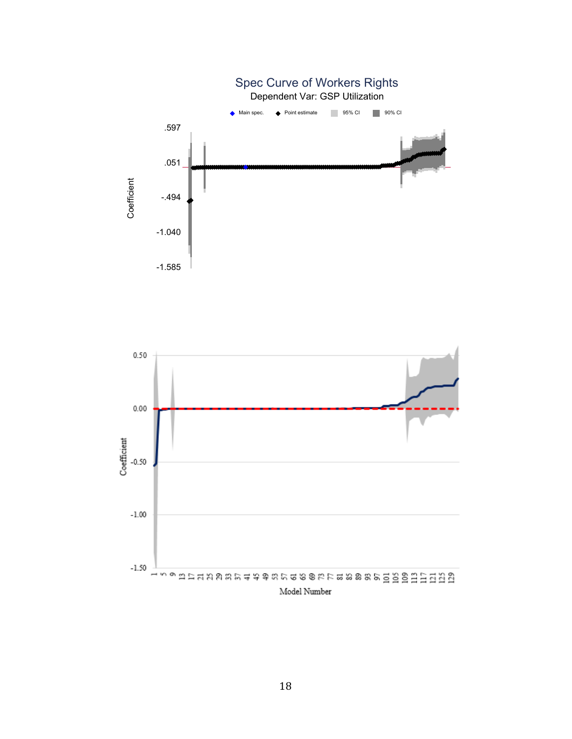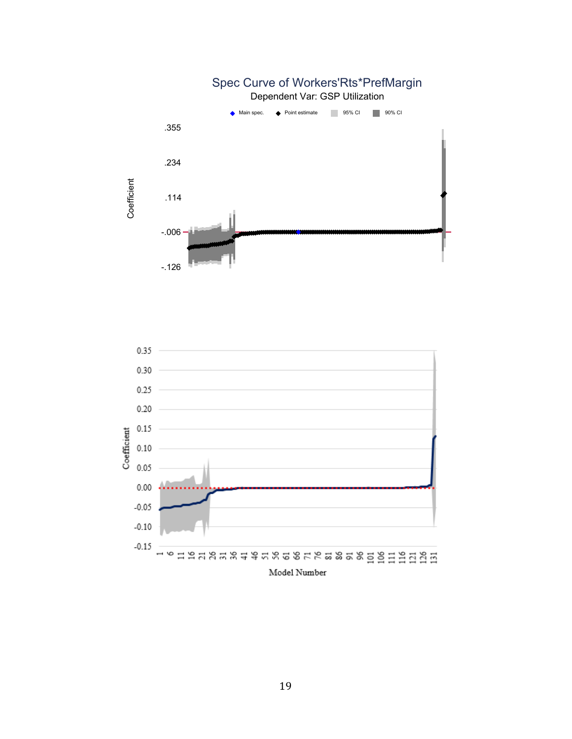

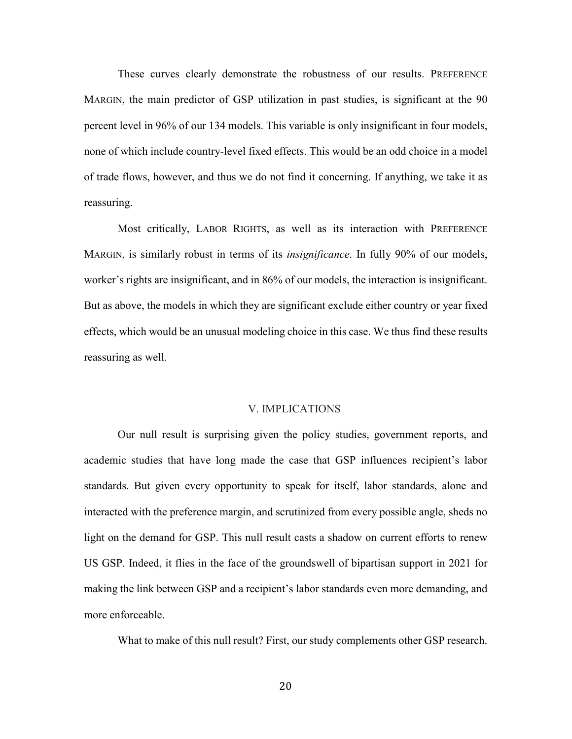These curves clearly demonstrate the robustness of our results. PREFERENCE MARGIN, the main predictor of GSP utilization in past studies, is significant at the 90 percent level in 96% of our 134 models. This variable is only insignificant in four models, none of which include country-level fixed effects. This would be an odd choice in a model of trade flows, however, and thus we do not find it concerning. If anything, we take it as reassuring.

Most critically, LABOR RIGHTS, as well as its interaction with PREFERENCE MARGIN, is similarly robust in terms of its *insignificance*. In fully 90% of our models, worker's rights are insignificant, and in 86% of our models, the interaction is insignificant. But as above, the models in which they are significant exclude either country or year fixed effects, which would be an unusual modeling choice in this case. We thus find these results reassuring as well.

## V. IMPLICATIONS

Our null result is surprising given the policy studies, government reports, and academic studies that have long made the case that GSP influences recipient's labor standards. But given every opportunity to speak for itself, labor standards, alone and interacted with the preference margin, and scrutinized from every possible angle, sheds no light on the demand for GSP. This null result casts a shadow on current efforts to renew US GSP. Indeed, it flies in the face of the groundswell of bipartisan support in 2021 for making the link between GSP and a recipient's labor standards even more demanding, and more enforceable.

What to make of this null result? First, our study complements other GSP research.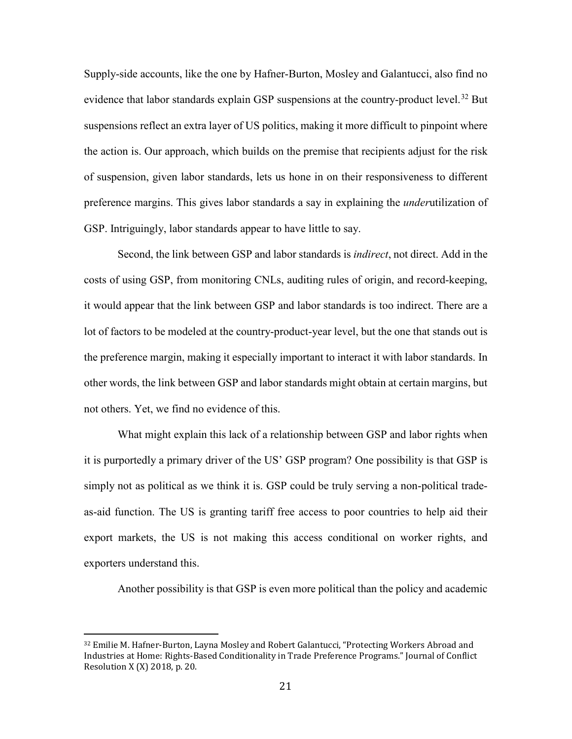Supply-side accounts, like the one by Hafner-Burton, Mosley and Galantucci, also find no evidence that labor standards explain GSP suspensions at the country-product level.<sup>[32](#page-21-0)</sup> But suspensions reflect an extra layer of US politics, making it more difficult to pinpoint where the action is. Our approach, which builds on the premise that recipients adjust for the risk of suspension, given labor standards, lets us hone in on their responsiveness to different preference margins. This gives labor standards a say in explaining the *under*utilization of GSP. Intriguingly, labor standards appear to have little to say.

Second, the link between GSP and labor standards is *indirect*, not direct. Add in the costs of using GSP, from monitoring CNLs, auditing rules of origin, and record-keeping, it would appear that the link between GSP and labor standards is too indirect. There are a lot of factors to be modeled at the country-product-year level, but the one that stands out is the preference margin, making it especially important to interact it with labor standards. In other words, the link between GSP and labor standards might obtain at certain margins, but not others. Yet, we find no evidence of this.

What might explain this lack of a relationship between GSP and labor rights when it is purportedly a primary driver of the US' GSP program? One possibility is that GSP is simply not as political as we think it is. GSP could be truly serving a non-political tradeas-aid function. The US is granting tariff free access to poor countries to help aid their export markets, the US is not making this access conditional on worker rights, and exporters understand this.

Another possibility is that GSP is even more political than the policy and academic

<span id="page-21-0"></span> <sup>32</sup> Emilie M. Hafner-Burton, Layna Mosley and Robert Galantucci, "Protecting Workers Abroad and Industries at Home: Rights-Based Conditionality in Trade Preference Programs." Journal of Conflict Resolution X (X) 2018, p. 20.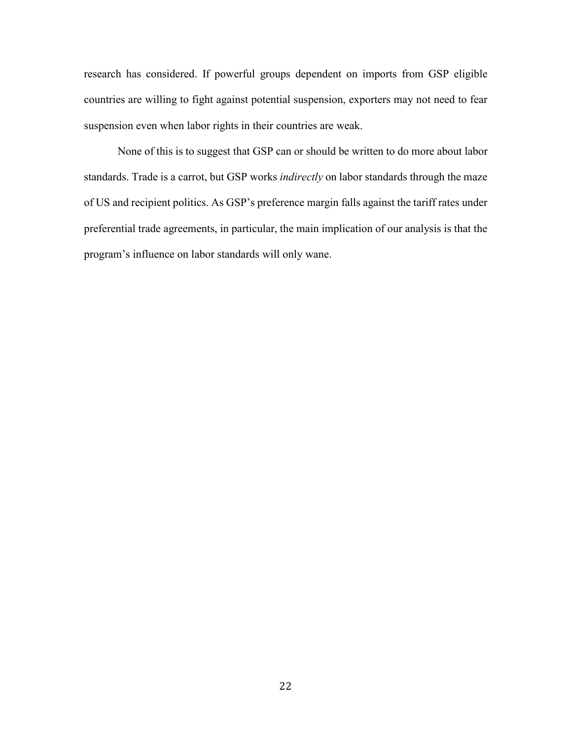research has considered. If powerful groups dependent on imports from GSP eligible countries are willing to fight against potential suspension, exporters may not need to fear suspension even when labor rights in their countries are weak.

None of this is to suggest that GSP can or should be written to do more about labor standards. Trade is a carrot, but GSP works *indirectly* on labor standards through the maze of US and recipient politics. As GSP's preference margin falls against the tariff rates under preferential trade agreements, in particular, the main implication of our analysis is that the program's influence on labor standards will only wane.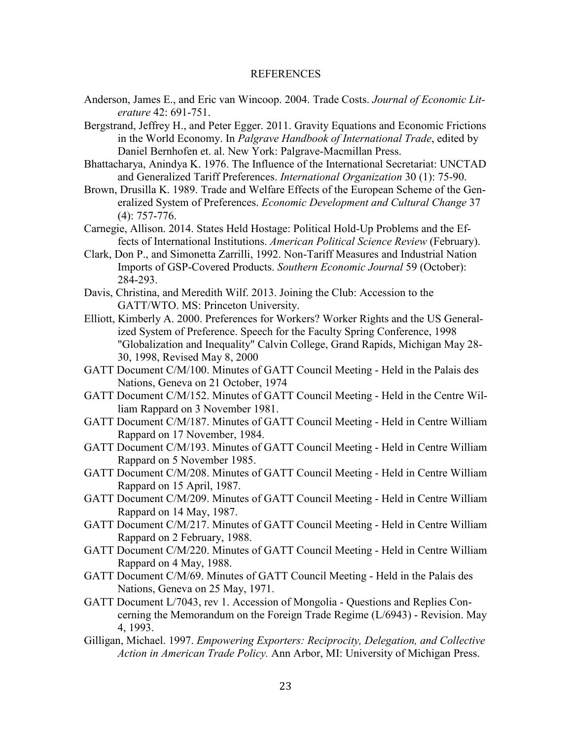#### REFERENCES

- Anderson, James E., and Eric van Wincoop. 2004. Trade Costs. *Journal of Economic Literature* 42: 691-751.
- Bergstrand, Jeffrey H., and Peter Egger. 2011. Gravity Equations and Economic Frictions in the World Economy. In *Palgrave Handbook of International Trade*, edited by Daniel Bernhofen et. al. New York: Palgrave-Macmillan Press.
- Bhattacharya, Anindya K. 1976. The Influence of the International Secretariat: UNCTAD and Generalized Tariff Preferences. *International Organization* 30 (1): 75-90.
- Brown, Drusilla K. 1989. Trade and Welfare Effects of the European Scheme of the Generalized System of Preferences. *Economic Development and Cultural Change* 37 (4): 757-776.
- Carnegie, Allison. 2014. States Held Hostage: Political Hold-Up Problems and the Effects of International Institutions. *American Political Science Review* (February).
- Clark, Don P., and Simonetta Zarrilli, 1992. Non-Tariff Measures and Industrial Nation Imports of GSP-Covered Products. *Southern Economic Journal* 59 (October): 284-293.
- Davis, Christina, and Meredith Wilf. 2013. Joining the Club: Accession to the GATT/WTO. MS: Princeton University.
- Elliott, Kimberly A. 2000. Preferences for Workers? Worker Rights and the US Generalized System of Preference. Speech for the Faculty Spring Conference, 1998 "Globalization and Inequality" Calvin College, Grand Rapids, Michigan May 28- 30, 1998, Revised May 8, 2000
- GATT Document C/M/100. Minutes of GATT Council Meeting Held in the Palais des Nations, Geneva on 21 October, 1974
- GATT Document C/M/152. Minutes of GATT Council Meeting Held in the Centre William Rappard on 3 November 1981.
- GATT Document C/M/187. Minutes of GATT Council Meeting Held in Centre William Rappard on 17 November, 1984.
- GATT Document C/M/193. Minutes of GATT Council Meeting Held in Centre William Rappard on 5 November 1985.
- GATT Document C/M/208. Minutes of GATT Council Meeting Held in Centre William Rappard on 15 April, 1987.
- GATT Document C/M/209. Minutes of GATT Council Meeting Held in Centre William Rappard on 14 May, 1987.
- GATT Document C/M/217. Minutes of GATT Council Meeting Held in Centre William Rappard on 2 February, 1988.
- GATT Document C/M/220. Minutes of GATT Council Meeting Held in Centre William Rappard on 4 May, 1988.
- GATT Document C/M/69. Minutes of GATT Council Meeting Held in the Palais des Nations, Geneva on 25 May, 1971.
- GATT Document L/7043, rev 1. Accession of Mongolia Questions and Replies Concerning the Memorandum on the Foreign Trade Regime (L/6943) - Revision. May 4, 1993.
- Gilligan, Michael. 1997. *Empowering Exporters: Reciprocity, Delegation, and Collective Action in American Trade Policy.* Ann Arbor, MI: University of Michigan Press.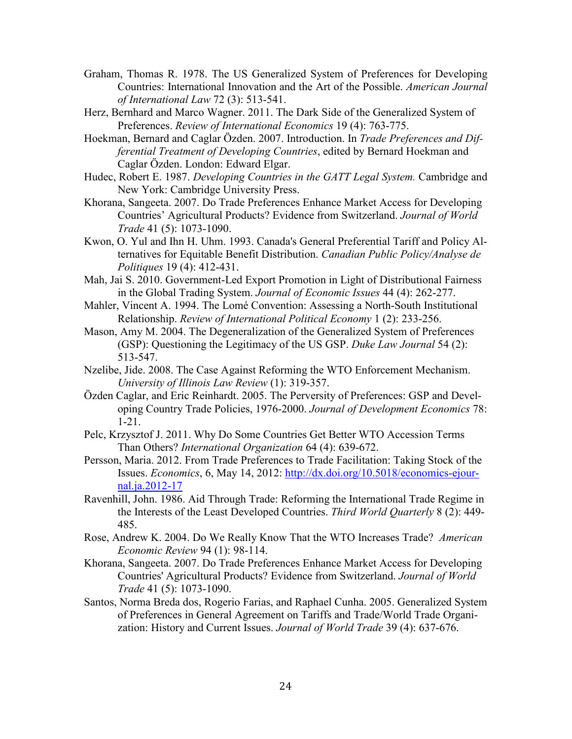- Graham, Thomas R. 1978. The US Generalized System of Preferences for Developing Countries: International Innovation and the Art of the Possible. *American Journal of International Law* 72 (3): 513-541.
- Herz, Bernhard and Marco Wagner. 2011. The Dark Side of the Generalized System of Preferences. *Review of International Economics* 19 (4): 763-775.
- Hoekman, Bernard and Caglar Özden. 2007. Introduction. In *Trade Preferences and Differential Treatment of Developing Countries*, edited by Bernard Hoekman and Caglar Özden. London: Edward Elgar.
- Hudec, Robert E. 1987. *Developing Countries in the GATT Legal System.* Cambridge and New York: Cambridge University Press.
- Khorana, Sangeeta. 2007. Do Trade Preferences Enhance Market Access for Developing Countries' Agricultural Products? Evidence from Switzerland. *Journal of World Trade* 41 (5): 1073-1090.
- Kwon, O. Yul and Ihn H. Uhm. 1993. Canada's General Preferential Tariff and Policy Alternatives for Equitable Benefit Distribution. *Canadian Public Policy/Analyse de Politiques* 19 (4): 412-431.
- Mah, Jai S. 2010. Government-Led Export Promotion in Light of Distributional Fairness in the Global Trading System. *Journal of Economic Issues* 44 (4): 262-277.
- Mahler, Vincent A. 1994. The Lomé Convention: Assessing a North-South Institutional Relationship. *Review of International Political Economy* 1 (2): 233-256.
- Mason, Amy M. 2004. The Degeneralization of the Generalized System of Preferences (GSP): Questioning the Legitimacy of the US GSP. *Duke Law Journal* 54 (2): 513-547.
- Nzelibe, Jide. 2008. The Case Against Reforming the WTO Enforcement Mechanism. *University of Illinois Law Review* (1): 319-357.
- Özden Caglar, and Eric Reinhardt. 2005. The Perversity of Preferences: GSP and Developing Country Trade Policies, 1976-2000. *Journal of Development Economics* 78: 1-21.
- Pelc, Krzysztof J. 2011. Why Do Some Countries Get Better WTO Accession Terms Than Others? *International Organization* 64 (4): 639-672.
- Persson, Maria. 2012. From Trade Preferences to Trade Facilitation: Taking Stock of the Issues. *Economics*, 6, May 14, 2012: [http://dx.doi.org/10.5018/economics-ejour](http://dx.doi.org/10.5018/economics-ejournal.ja.2012-17)[nal.ja.2012-17](http://dx.doi.org/10.5018/economics-ejournal.ja.2012-17)
- Ravenhill, John. 1986. Aid Through Trade: Reforming the International Trade Regime in the Interests of the Least Developed Countries. *Third World Quarterly* 8 (2): 449- 485.
- Rose, Andrew K. 2004. Do We Really Know That the WTO Increases Trade? *American Economic Review* 94 (1): 98-114.
- Khorana, Sangeeta. 2007. Do Trade Preferences Enhance Market Access for Developing Countries' Agricultural Products? Evidence from Switzerland. *Journal of World Trade* 41 (5): 1073-1090.
- Santos, Norma Breda dos, Rogerio Farias, and Raphael Cunha. 2005. Generalized System of Preferences in General Agreement on Tariffs and Trade/World Trade Organization: History and Current Issues. *Journal of World Trade* 39 (4): 637-676.